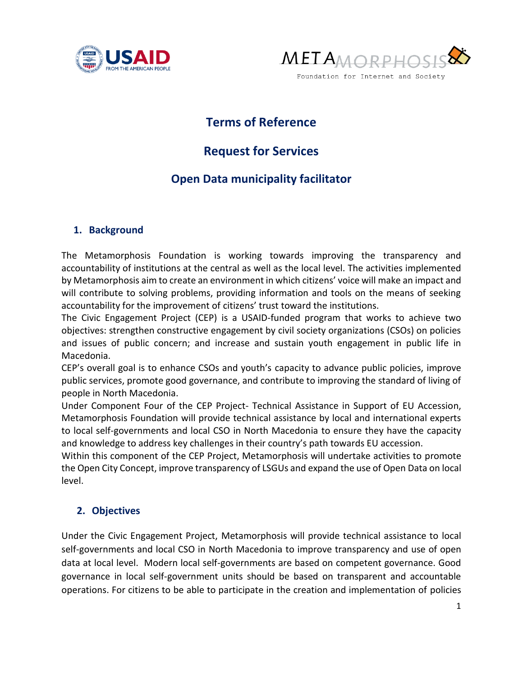



## **Terms of Reference**

# **Request for Services**

### **Open Data municipality facilitator**

#### **1. Background**

The Metamorphosis Foundation is working towards improving the transparency and accountability of institutions at the central as well as the local level. The activities implemented by Metamorphosis aim to create an environment in which citizens' voice will make an impact and will contribute to solving problems, providing information and tools on the means of seeking accountability for the improvement of citizens' trust toward the institutions.

The Civic Engagement Project (CEP) is a USAID-funded program that works to achieve two objectives: strengthen constructive engagement by civil society organizations (CSOs) on policies and issues of public concern; and increase and sustain youth engagement in public life in Macedonia.

CEP's overall goal is to enhance CSOs and youth's capacity to advance public policies, improve public services, promote good governance, and contribute to improving the standard of living of people in North Macedonia.

Under Component Four of the CEP Project- Technical Assistance in Support of EU Accession, Metamorphosis Foundation will provide technical assistance by local and international experts to local self-governments and local CSO in North Macedonia to ensure they have the capacity and knowledge to address key challenges in their country's path towards EU accession.

Within this component of the CEP Project, Metamorphosis will undertake activities to promote the Open City Concept, improve transparency of LSGUs and expand the use of Open Data on local level.

#### **2. Objectives**

Under the Civic Engagement Project, Metamorphosis will provide technical assistance to local self-governments and local CSO in North Macedonia to improve transparency and use of open data at local level. Modern local self-governments are based on competent governance. Good governance in local self-government units should be based on transparent and accountable operations. For citizens to be able to participate in the creation and implementation of policies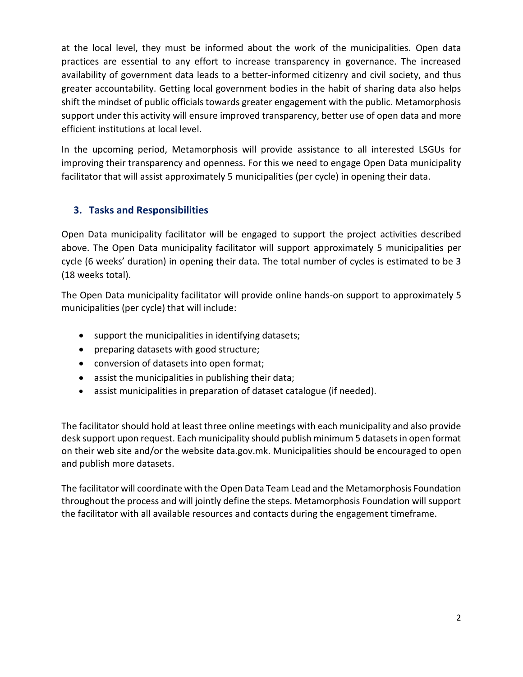at the local level, they must be informed about the work of the municipalities. Оpen data practices are essential to any effort to increase transparency in governance. The increased availability of government data leads to a better-informed citizenry and civil society, and thus greater accountability. Getting local government bodies in the habit of sharing data also helps shift the mindset of public officials towards greater engagement with the public. Metamorphosis support under this activity will ensure improved transparency, better use of open data and more efficient institutions at local level.

In the upcoming period, Metamorphosis will provide assistance to all interested LSGUs for improving their transparency and openness. For this we need to engage Open Data municipality facilitator that will assist approximately 5 municipalities (per cycle) in opening their data.

### **3. Tasks and Responsibilities**

Open Data municipality facilitator will be engaged to support the project activities described above. The Open Data municipality facilitator will support approximately 5 municipalities per cycle (6 weeks' duration) in opening their data. The total number of cycles is estimated to be 3 (18 weeks total).

The Open Data municipality facilitator will provide online hands-on support to approximately 5 municipalities (per cycle) that will include:

- support the municipalities in identifying datasets;
- preparing datasets with good structure;
- conversion of datasets into open format;
- assist the municipalities in publishing their data;
- assist municipalities in preparation of dataset catalogue (if needed).

The facilitator should hold at least three online meetings with each municipality and also provide desk support upon request. Each municipality should publish minimum 5 datasets in open format on their web site and/or the website data.gov.mk. Municipalities should be encouraged to open and publish more datasets.

The facilitator will coordinate with the Open Data Team Lead and the Metamorphosis Foundation throughout the process and will jointly define the steps. Metamorphosis Foundation will support the facilitator with all available resources and contacts during the engagement timeframe.